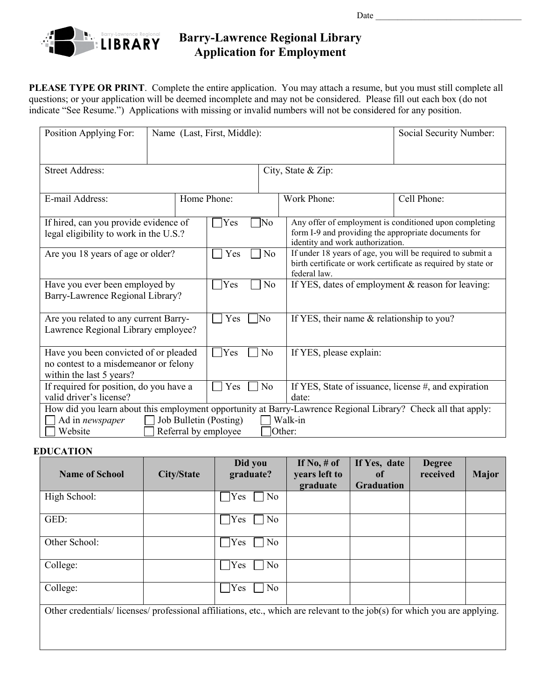

## **Barry-Lawrence Regional Library Application for Employment**

 **PLEASE TYPE OR PRINT**. Complete the entire application. You may attach a resume, but you must still complete all questions; or your application will be deemed incomplete and may not be considered. Please fill out each box (do not indicate "See Resume.") Applications with missing or invalid numbers will not be considered for any position.

| Position Applying For:<br>Name (Last, First, Middle):                                                                                                                                                              |             |                   |                                                                                                                                                               | Social Security Number:                                                                                                                            |             |  |
|--------------------------------------------------------------------------------------------------------------------------------------------------------------------------------------------------------------------|-------------|-------------------|---------------------------------------------------------------------------------------------------------------------------------------------------------------|----------------------------------------------------------------------------------------------------------------------------------------------------|-------------|--|
| <b>Street Address:</b>                                                                                                                                                                                             |             |                   |                                                                                                                                                               | City, State & Zip:                                                                                                                                 |             |  |
| E-mail Address:                                                                                                                                                                                                    | Home Phone: |                   |                                                                                                                                                               | Work Phone:                                                                                                                                        | Cell Phone: |  |
| If hired, can you provide evidence of<br>legal eligibility to work in the U.S.?                                                                                                                                    |             | <b>Yes</b><br>No] |                                                                                                                                                               | Any offer of employment is conditioned upon completing<br>form I-9 and providing the appropriate documents for<br>identity and work authorization. |             |  |
| Are you 18 years of age or older?                                                                                                                                                                                  |             | Yes               | If under 18 years of age, you will be required to submit a<br>N <sub>o</sub><br>birth certificate or work certificate as required by state or<br>federal law. |                                                                                                                                                    |             |  |
| Have you ever been employed by<br>Barry-Lawrence Regional Library?                                                                                                                                                 |             | Yes               | N <sub>o</sub>                                                                                                                                                | If YES, dates of employment & reason for leaving:                                                                                                  |             |  |
| Are you related to any current Barry-<br>Lawrence Regional Library employee?                                                                                                                                       |             | Yes               | <b>No</b><br>If YES, their name & relationship to you?                                                                                                        |                                                                                                                                                    |             |  |
| Have you been convicted of or pleaded<br>no contest to a misdemeanor or felony<br>within the last 5 years?                                                                                                         |             | <b>Yes</b>        | No                                                                                                                                                            | If YES, please explain:                                                                                                                            |             |  |
| If required for position, do you have a<br>valid driver's license?                                                                                                                                                 |             | Yes               | No                                                                                                                                                            | If YES, State of issuance, license #, and expiration<br>date:                                                                                      |             |  |
| How did you learn about this employment opportunity at Barry-Lawrence Regional Library? Check all that apply:<br>Job Bulletin (Posting)<br>Walk-in<br>Ad in newspaper<br>Website<br>Referral by employee<br>Other: |             |                   |                                                                                                                                                               |                                                                                                                                                    |             |  |

## **EDUCATION**

| <b>Name of School</b>                                                                                                    | <b>City/State</b> | Did you<br>graduate?  | If $No, \# of$<br>years left to<br>graduate | If Yes, date<br>of<br><b>Graduation</b> | <b>Degree</b><br>received | <b>Major</b> |
|--------------------------------------------------------------------------------------------------------------------------|-------------------|-----------------------|---------------------------------------------|-----------------------------------------|---------------------------|--------------|
| High School:                                                                                                             |                   | N <sub>o</sub><br>Yes |                                             |                                         |                           |              |
| GED:                                                                                                                     |                   | No<br>Yes             |                                             |                                         |                           |              |
| Other School:                                                                                                            |                   | Yes<br>No             |                                             |                                         |                           |              |
| College:                                                                                                                 |                   | No<br>Yes             |                                             |                                         |                           |              |
| College:                                                                                                                 |                   | No<br>Yes             |                                             |                                         |                           |              |
| Other credentials/licenses/professional affiliations, etc., which are relevant to the job(s) for which you are applying. |                   |                       |                                             |                                         |                           |              |
|                                                                                                                          |                   |                       |                                             |                                         |                           |              |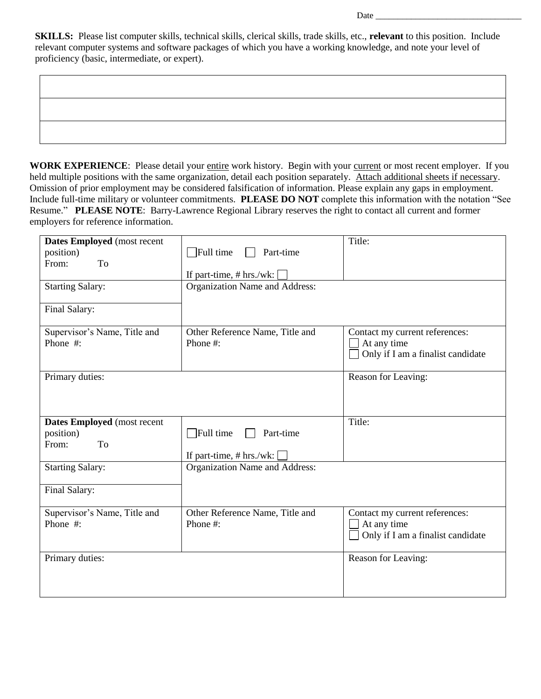**SKILLS:** Please list computer skills, technical skills, clerical skills, trade skills, etc., **relevant** to this position. Include relevant computer systems and software packages of which you have a working knowledge, and note your level of proficiency (basic, intermediate, or expert).

Date  $\frac{1}{\sqrt{1-\frac{1}{2}}\sqrt{1-\frac{1}{2}}\left\vert \frac{1}{2}+1\right\vert }$ 

WORK EXPERIENCE: Please detail your entire work history. Begin with your current or most recent employer. If you held multiple positions with the same organization, detail each position separately. Attach additional sheets if necessary. Omission of prior employment may be considered falsification of information. Please explain any gaps in employment. Include full-time military or volunteer commitments. **PLEASE DO NOT** complete this information with the notation "See Resume." **PLEASE NOTE**: Barry-Lawrence Regional Library reserves the right to contact all current and former employers for reference information.

| Dates Employed (most recent<br>position)<br>From:<br>To<br><b>Starting Salary:</b><br>Final Salary: | $\Box$ Full time<br>Part-time<br>If part-time, # hrs./wk:<br>Organization Name and Address: | Title:                                                                             |
|-----------------------------------------------------------------------------------------------------|---------------------------------------------------------------------------------------------|------------------------------------------------------------------------------------|
| Supervisor's Name, Title and<br>Phone #:                                                            | Other Reference Name, Title and<br>Phone #:                                                 | Contact my current references:<br>At any time<br>Only if I am a finalist candidate |
| Primary duties:                                                                                     |                                                                                             | Reason for Leaving:                                                                |
| Dates Employed (most recent<br>position)<br>From:<br>To                                             | $\Box$ Full time<br>Part-time<br>If part-time, $# hrs./wk:$                                 | Title:                                                                             |
| <b>Starting Salary:</b><br>Final Salary:                                                            | Organization Name and Address:                                                              |                                                                                    |
| Supervisor's Name, Title and<br>Phone #:                                                            | Other Reference Name, Title and<br>Phone #:                                                 | Contact my current references:<br>At any time<br>Only if I am a finalist candidate |
| Primary duties:                                                                                     |                                                                                             | Reason for Leaving:                                                                |